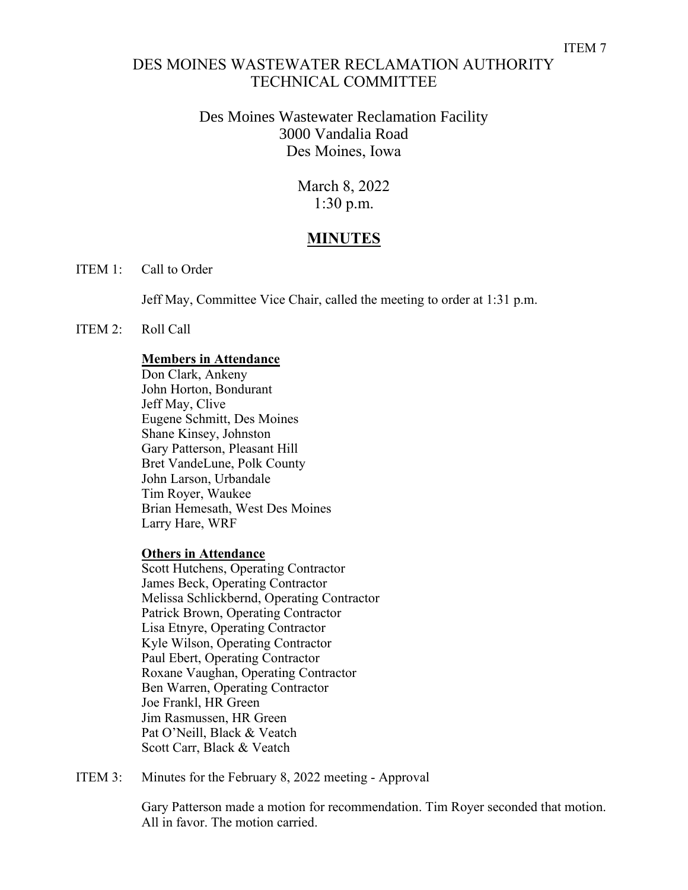## DES MOINES WASTEWATER RECLAMATION AUTHORITY TECHNICAL COMMITTEE

## Des Moines Wastewater Reclamation Facility 3000 Vandalia Road Des Moines, Iowa

March 8, 2022 1:30 p.m.

# **MINUTES**

ITEM 1: Call to Order

Jeff May, Committee Vice Chair, called the meeting to order at 1:31 p.m.

### ITEM 2: Roll Call

### **Members in Attendance**

Don Clark, Ankeny John Horton, Bondurant Jeff May, Clive Eugene Schmitt, Des Moines Shane Kinsey, Johnston Gary Patterson, Pleasant Hill Bret VandeLune, Polk County John Larson, Urbandale Tim Royer, Waukee Brian Hemesath, West Des Moines Larry Hare, WRF

#### **Others in Attendance**

Scott Hutchens, Operating Contractor James Beck, Operating Contractor Melissa Schlickbernd, Operating Contractor Patrick Brown, Operating Contractor Lisa Etnyre, Operating Contractor Kyle Wilson, Operating Contractor Paul Ebert, Operating Contractor Roxane Vaughan, Operating Contractor Ben Warren, Operating Contractor Joe Frankl, HR Green Jim Rasmussen, HR Green Pat O'Neill, Black & Veatch Scott Carr, Black & Veatch

ITEM 3: Minutes for the February 8, 2022 meeting - Approval

Gary Patterson made a motion for recommendation. Tim Royer seconded that motion. All in favor. The motion carried.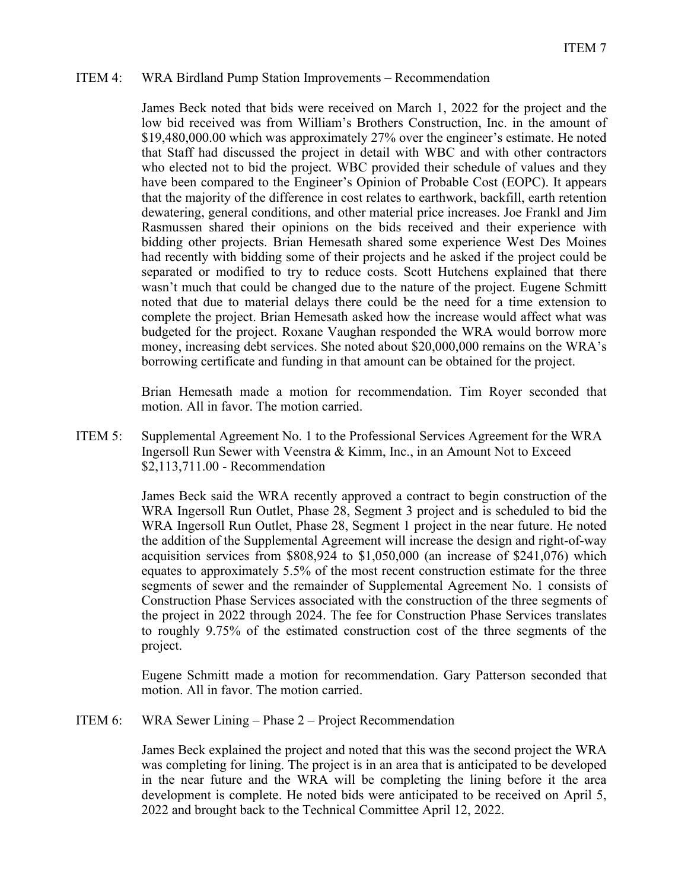### ITEM 4: WRA Birdland Pump Station Improvements – Recommendation

James Beck noted that bids were received on March 1, 2022 for the project and the low bid received was from William's Brothers Construction, Inc. in the amount of \$19,480,000.00 which was approximately 27% over the engineer's estimate. He noted that Staff had discussed the project in detail with WBC and with other contractors who elected not to bid the project. WBC provided their schedule of values and they have been compared to the Engineer's Opinion of Probable Cost (EOPC). It appears that the majority of the difference in cost relates to earthwork, backfill, earth retention dewatering, general conditions, and other material price increases. Joe Frankl and Jim Rasmussen shared their opinions on the bids received and their experience with bidding other projects. Brian Hemesath shared some experience West Des Moines had recently with bidding some of their projects and he asked if the project could be separated or modified to try to reduce costs. Scott Hutchens explained that there wasn't much that could be changed due to the nature of the project. Eugene Schmitt noted that due to material delays there could be the need for a time extension to complete the project. Brian Hemesath asked how the increase would affect what was budgeted for the project. Roxane Vaughan responded the WRA would borrow more money, increasing debt services. She noted about \$20,000,000 remains on the WRA's borrowing certificate and funding in that amount can be obtained for the project.

Brian Hemesath made a motion for recommendation. Tim Royer seconded that motion. All in favor. The motion carried.

ITEM 5: Supplemental Agreement No. 1 to the Professional Services Agreement for the WRA Ingersoll Run Sewer with Veenstra & Kimm, Inc., in an Amount Not to Exceed \$2,113,711.00 - Recommendation

> James Beck said the WRA recently approved a contract to begin construction of the WRA Ingersoll Run Outlet, Phase 28, Segment 3 project and is scheduled to bid the WRA Ingersoll Run Outlet, Phase 28, Segment 1 project in the near future. He noted the addition of the Supplemental Agreement will increase the design and right-of-way acquisition services from \$808,924 to \$1,050,000 (an increase of \$241,076) which equates to approximately 5.5% of the most recent construction estimate for the three segments of sewer and the remainder of Supplemental Agreement No. 1 consists of Construction Phase Services associated with the construction of the three segments of the project in 2022 through 2024. The fee for Construction Phase Services translates to roughly 9.75% of the estimated construction cost of the three segments of the project.

> Eugene Schmitt made a motion for recommendation. Gary Patterson seconded that motion. All in favor. The motion carried.

ITEM 6: WRA Sewer Lining – Phase 2 – Project Recommendation

James Beck explained the project and noted that this was the second project the WRA was completing for lining. The project is in an area that is anticipated to be developed in the near future and the WRA will be completing the lining before it the area development is complete. He noted bids were anticipated to be received on April 5, 2022 and brought back to the Technical Committee April 12, 2022.